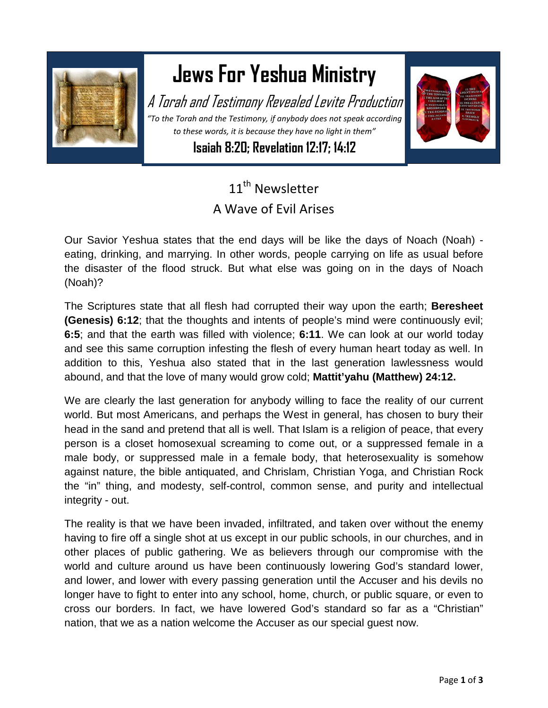

## **Jews For Yeshua Ministry**

A Torah and Testimony Revealed Levite Production *"To the Torah and the Testimony, if anybody does not speak according to these words, it is because they have no light in them"*

**Isaiah 8:20; Revelation 12:17; 14:12**



## 11<sup>th</sup> Newsletter A Wave of Evil Arises

Our Savior Yeshua states that the end days will be like the days of Noach (Noah) eating, drinking, and marrying. In other words, people carrying on life as usual before the disaster of the flood struck. But what else was going on in the days of Noach (Noah)?

The Scriptures state that all flesh had corrupted their way upon the earth; **Beresheet (Genesis) 6:12**; that the thoughts and intents of people's mind were continuously evil; **6:5**; and that the earth was filled with violence; **6:11**. We can look at our world today and see this same corruption infesting the flesh of every human heart today as well. In addition to this, Yeshua also stated that in the last generation lawlessness would abound, and that the love of many would grow cold; **Mattit'yahu (Matthew) 24:12.**

We are clearly the last generation for anybody willing to face the reality of our current world. But most Americans, and perhaps the West in general, has chosen to bury their head in the sand and pretend that all is well. That Islam is a religion of peace, that every person is a closet homosexual screaming to come out, or a suppressed female in a male body, or suppressed male in a female body, that heterosexuality is somehow against nature, the bible antiquated, and Chrislam, Christian Yoga, and Christian Rock the "in" thing, and modesty, self-control, common sense, and purity and intellectual integrity - out.

The reality is that we have been invaded, infiltrated, and taken over without the enemy having to fire off a single shot at us except in our public schools, in our churches, and in other places of public gathering. We as believers through our compromise with the world and culture around us have been continuously lowering God's standard lower, and lower, and lower with every passing generation until the Accuser and his devils no longer have to fight to enter into any school, home, church, or public square, or even to cross our borders. In fact, we have lowered God's standard so far as a "Christian" nation, that we as a nation welcome the Accuser as our special guest now.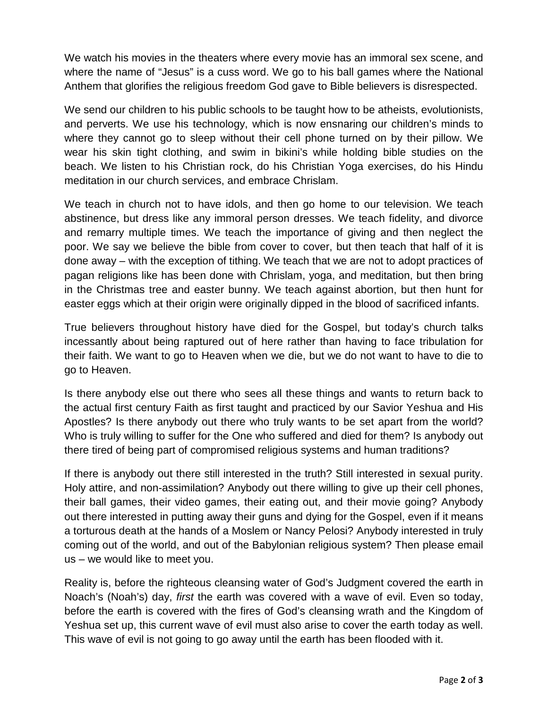We watch his movies in the theaters where every movie has an immoral sex scene, and where the name of "Jesus" is a cuss word. We go to his ball games where the National Anthem that glorifies the religious freedom God gave to Bible believers is disrespected.

We send our children to his public schools to be taught how to be atheists, evolutionists, and perverts. We use his technology, which is now ensnaring our children's minds to where they cannot go to sleep without their cell phone turned on by their pillow. We wear his skin tight clothing, and swim in bikini's while holding bible studies on the beach. We listen to his Christian rock, do his Christian Yoga exercises, do his Hindu meditation in our church services, and embrace Chrislam.

We teach in church not to have idols, and then go home to our television. We teach abstinence, but dress like any immoral person dresses. We teach fidelity, and divorce and remarry multiple times. We teach the importance of giving and then neglect the poor. We say we believe the bible from cover to cover, but then teach that half of it is done away – with the exception of tithing. We teach that we are not to adopt practices of pagan religions like has been done with Chrislam, yoga, and meditation, but then bring in the Christmas tree and easter bunny. We teach against abortion, but then hunt for easter eggs which at their origin were originally dipped in the blood of sacrificed infants.

True believers throughout history have died for the Gospel, but today's church talks incessantly about being raptured out of here rather than having to face tribulation for their faith. We want to go to Heaven when we die, but we do not want to have to die to go to Heaven.

Is there anybody else out there who sees all these things and wants to return back to the actual first century Faith as first taught and practiced by our Savior Yeshua and His Apostles? Is there anybody out there who truly wants to be set apart from the world? Who is truly willing to suffer for the One who suffered and died for them? Is anybody out there tired of being part of compromised religious systems and human traditions?

If there is anybody out there still interested in the truth? Still interested in sexual purity. Holy attire, and non-assimilation? Anybody out there willing to give up their cell phones, their ball games, their video games, their eating out, and their movie going? Anybody out there interested in putting away their guns and dying for the Gospel, even if it means a torturous death at the hands of a Moslem or Nancy Pelosi? Anybody interested in truly coming out of the world, and out of the Babylonian religious system? Then please email us – we would like to meet you.

Reality is, before the righteous cleansing water of God's Judgment covered the earth in Noach's (Noah's) day, *first* the earth was covered with a wave of evil. Even so today, before the earth is covered with the fires of God's cleansing wrath and the Kingdom of Yeshua set up, this current wave of evil must also arise to cover the earth today as well. This wave of evil is not going to go away until the earth has been flooded with it.